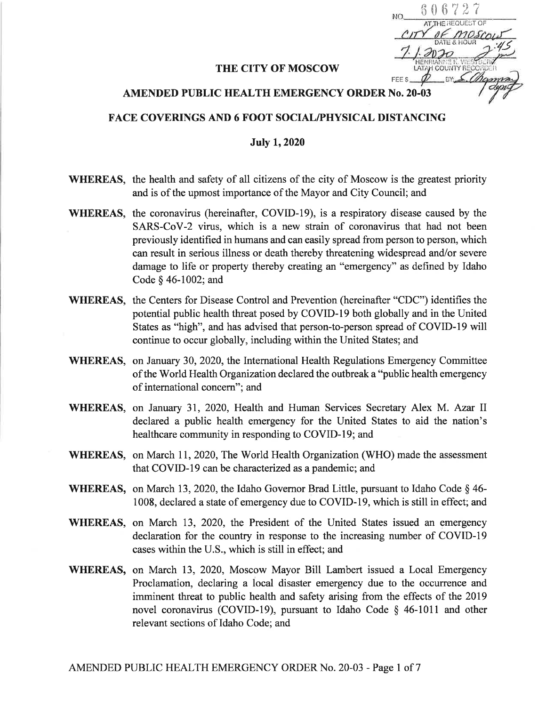$\hphantom{0}6\,6\,7\,2\,7$ REQUEST OF  $\frac{45}{5}$ ëR  $EY \n\leq 1$ FFE<sub>s</sub>

## THE CITY OF MOSCOW

## AMENDED PUBLIC HEALTH EMERGENCY ORDER No. 20.03

## FACE COVERINGS AND 6 FOOT SOCIAL/PHYSICAL DISTANCING

## July 1,2020

- WHEREAS, the health and safety of all citizens of the city of Moscow is the greatest priority and is of the upmost importance of the Mayor and City Council; and
- WHEREAS, the coronavirus (hereinafter, COVID-19), is a respiratory disease caused by the SARS-CoV-2 virus, which is a new strain of coronavirus that had not been previously identified in humans and can easily spread from person to person, which can result in serious illness or death thereby threatening widespread and/or severe damage to life or property thereby creating an "emergency" as defined by Idaho Code \$ 46-1002; and
- WHEREAS, the Centers for Disease Control and Prevention (hereinafter "CDC") identifies the potential public health threat posed by COVID-I9 both globally and in the United States as "high", and has advised that person-to-person spread of COVID-I9 will continue to occur globally, including within the United States; and
- WHEREAS, on January 30, 2020, the International Health Regulations Emergency Committee ofthe World Health Organization declared the outbreak a "public health emergency of international concern"; and
- WHEREAS, on January 31, 2020, Health and Human Services Secretary Alex M. Azar II declared a public health emergency for the United States to aid the nation's healthcare community in responding to COVID-19; and
- WHEREAS, on March 11, 2020, The World Health Organization (WHO) made the assessment that COVID-I9 can be characterized as a pandemic; and
- WHEREAS, on March 13, 2020, the Idaho Governor Brad Little, pursuant to Idaho Code  $\S$  46-1008, declared a state of emergency due to COVID-19, which is still in effect; and
- WHEREAS, on March 13, 2020, the President of the United States issued an emergency declaration for the country in response to the increasing number of COVID-l9 cases within the U.S., which is still in effect; and
- WHEREAS, on March 13, 2020, Moscow Mayor Bill Lambert issued a Local Emergency Proclamation, declaring a local disaster emergency due to the occurrence and imminent threat to public health and safety arising from the effects of the 2019 novel coronavirus (COVID-19), pursuant to Idaho Code § 46-1011 and other relevant sections of Idaho Code; and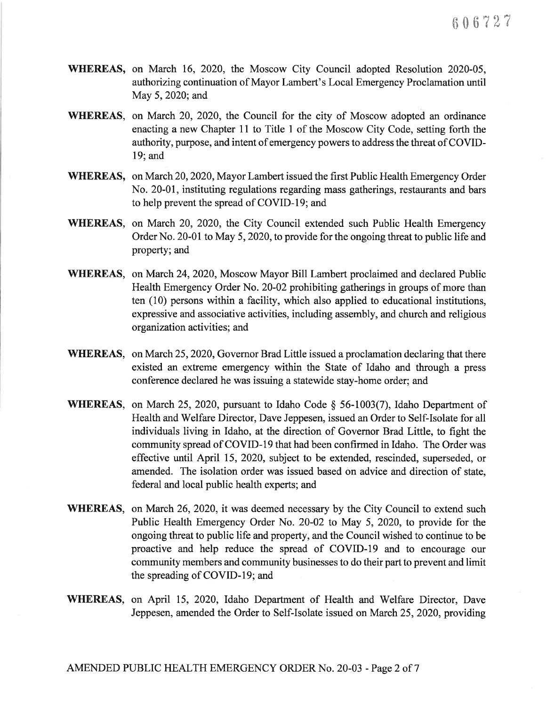- wHEREAS, on March 16, 2020, the Moscow City Council adopted Resolution 2020-05, authorizing continuation of Mayor Lambert's Local Emergency Proclamation until May 5, 2020; and
- WHEREAS, on March 20, 2020, the Council for the city of Moscow adopted an ordinance enacting a new Chapter 11 to Title I of the Moscow City Code, setting forth the authority, purpose, and intent of emergency powers to address the threat of COVID-19; and
- wHEREAS, on March 20,2020, Mayor Lambert issued the first Public Health Emergency Order No. 20-01, instituting regulations regarding mass gatherings, restaurants and bars to help prevent the spread of COVID-I9; and
- WHEREAS, on March 20,2020, the City Council extended such Public Health Emergency Order No. 20-01 to May 5, 2020, to provide for the ongoing threat to public life and property; and
- WHEREAS, on March 24,2020, Moscow Mayor Bill Lambert proclaimed and declared Public Health Emergency Order No. 20-02 prohibiting gatherings in groups of more than ten (10) persons within a facility, which also applied to educational institutions, expressive and associative activities, including assembly, and church and religious organization activities; and
- WHEREAS, on March 25,2020, Governor Brad Little issued a proclamation declaring that there existed an extreme emergency within the State of Idaho and through a press conference declared he was issuing a statewide stay-home order; and
- WHEREAS, on March 25, 2020, pursuant to Idaho Code § 56-1003(7), Idaho Department of Health and Welfare Director, Dave Jeppesen, issued an Order to Self-Isolate for all individuals living in Idaho, at the direction of Governor Brad Little, to fight the community spread of COVID-l9 that had been confirmed in Idaho. The Order was effective until April 15,2020, subject to be extended, rescinded, superseded, or amended. The isolation order was issued based on advice and direction of state, federal and local public health experts; and
- WHEREAS, on March 26, 2020, it was deemed necessary by the City Council to extend such Public Health Emergency Order No. 20-02 to May 5, 2020, to provide for the ongoing threat to public life and property, and the Council wished to continue to be proactive and help reduce the spread of COVID-19 and to encourage our community members and community businesses to do their part to prevent and limit the spreading of COVID-I9; and
- WHEREAS, on April 15, 2020, Idaho Department of Health and Welfare Director, Dave Jeppesen, amended the Order to Self-Isolate issued on March 25,2020, providing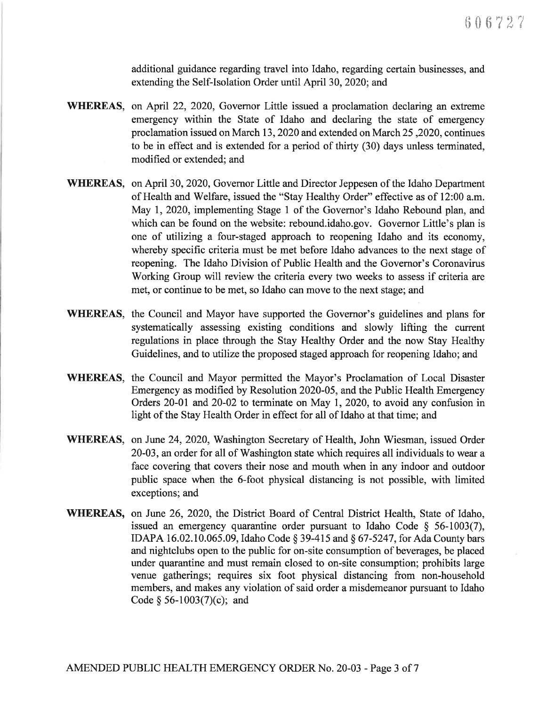additional guidance regarding travel into Idaho, regarding certain businesses, and extending the Self-Isolation Order until April 30,2020; and

- WHEREAS, on April 22, 2020, Governor Little issued a proclamation declaring an extreme emergency within the State of Idaho and declaring the state of emergency proclamation issued on March 13,2020 and extended on March 25 ,2020, continues to be in effect and is extended for a period of thirty (30) days unless terminated, modihed or extended; and
- WHEREAS, on April 30, 2020, Governor Little and Director Jeppesen of the Idaho Department of Health and Welfare, issued the "Stay Healthy Order" effective as of l2:00 a.m. May l, 2020, implementing Stage I of the Governor's Idaho Rebound plan, and which can be found on the website: rebound.idaho.gov. Governor Little's plan is one of utilizing a four-staged approach to reopening Idaho and its economy, whereby specihc criteria must be met before Idaho advances to the next stage of reopening. The Idaho Division of Public Health and the Governor's Coronavirus Working Group will review the criteria every two weeks to assess if criteria are met, or continue to be met, so Idaho can move to the next stage; and
- WHEREAS, the Council and Mayor have supported the Governor's guidelines and plans for systematically assessing existing conditions and slowly lifting the current regulations in place through the Stay Healthy Order and the now Stay Healthy Guidelines, and to utilize the proposed staged approach for reopening Idaho; and
- WHEREAS, the Council and Mayor permitted the Mayor's Proclamation of Local Disaster Emergency as modified by Resolution 2020-05, and the Public Health Emergency Orders  $20-01$  and  $20-02$  to terminate on May 1, 2020, to avoid any confusion in light of the Stay Health Order in effect for all of Idaho at that time; and
- WHEREAS, on June 24,2020, Washington Secretary of Health, John Wiesman, issued Order 20-03, an order for all of Washington state which requires all individuals to wear a face covering that covers their nose and mouth when in any indoor and outdoor public space when the 6-foot physical distancing is not possible, with limited exceptions; and
- wHEREAS, on June 26, 2020, the District Board of Central District Health, State of Idaho, issued an emergency quarantine order pursuant to Idaho Code  $\S$  56-1003(7), IDAPA 16.02.10.065.09, Idaho Code § 39-415 and § 67-5247, for Ada County bars and nightclubs open to the public for on-site consumption of beverages, be placed under quarantine and must remain closed to on-site consumption; prohibits large venue gatherings; requires six foot physical distancing from non-household members, and makes any violation of said order a misdemeanor pursuant to Idaho Code  $§$  56-1003(7)(c); and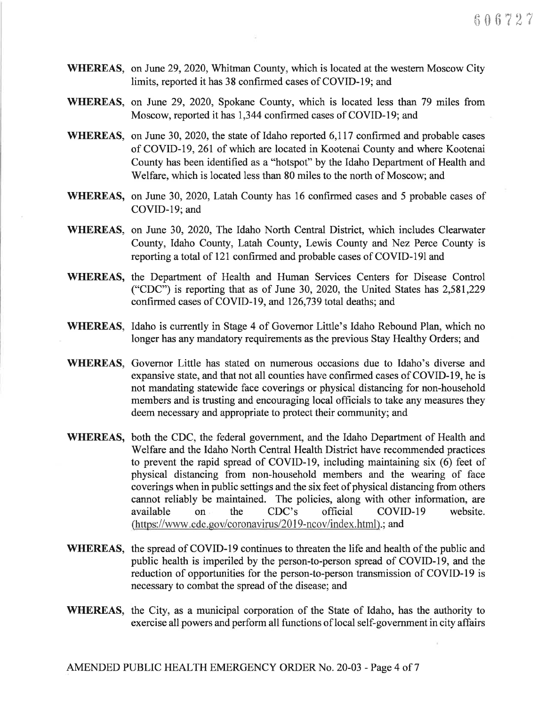- WHEREAS, on June 29, 2020, Whitman County, which is located at the western Moscow City limits, reported it has 38 confirmed cases of COVID-l9; and
- WHEREAS, on June 29, 2020, Spokane County, which is located less than 79 miles from Moscow, reported it has 1,344 confirmed cases of COVID-19; and
- WHEREAS, on June 30, 2020, the state of Idaho reported 6,117 confirmed and probable cases of COVID -I9, 26I of which are located in Kootenai County and where Kootenai County has been identified as a "hotspot" by the Idaho Department of Health and Welfare, which is located less than 80 miles to the north of Moscow; and
- WHEREAS, on June 30, 2020, Latah County has 16 confirmed cases and 5 probable cases of COVID-19; and
- WHEREAS, on June 30, 2020, The Idaho North Central District, which includes Clearwater County, Idaho County, Latah County, Lewis County and Nez Perce County is reporting a total of l2l confirmed and probable cases of COVID-I91and
- WHEREAS, the Department of Health and Human Services Centers for Disease Control ("CDC") is reporting that as of June 30, 2020, the United States has  $2,581,229$ confirmed cases of COVID-l9, and 126,739 total deaths; and
- WHEREAS, Idaho is currently in Stage 4 of Govemor Little's Idaho Rebound Plan, which no longer has any mandatory requirements as the previous Stay Healthy Orders; and
- WHEREAS, Governor Little has stated on numerous occasions due to Idaho's diverse and expansive state, and that not all counties have confirmed cases of COVID-I9, he is not mandating statewide face coverings or physical distancing for non-household members and is trusting and encouraging local officials to take any measures they deem necessary and appropriate to protect their community; and
- WHEREAS, both the CDC, the federal government, and the Idaho Department of Health and Welfare and the Idaho North Central Health District have recommended practices to prevent the rapid spread of COVID-l9, including maintaining six (6) feet of physical distancing from non-household members and the wearing of face coverings when in public settings and the six feet of physical distancing from others cannot reliably be maintained. The policies, along with other information, are available on the CDC's official COVID-19 website. (https://www.cdc.gov/coronavirus/2019-ncov/index.html).; and
- WHEREAS, the spread of COVID-l9 continues to threaten the life and health of the public and public health is imperiled by the person-to-person spread of COVID-l9, and the reduction of opportunities for the person-to-person transmission of COVID-19 is necessary to combat the spread of the disease; and
- WHEREAS, the City, as a municipal corporation of the State of Idaho, has the authority to exercise all powers and perform all functions of local self-government in city affairs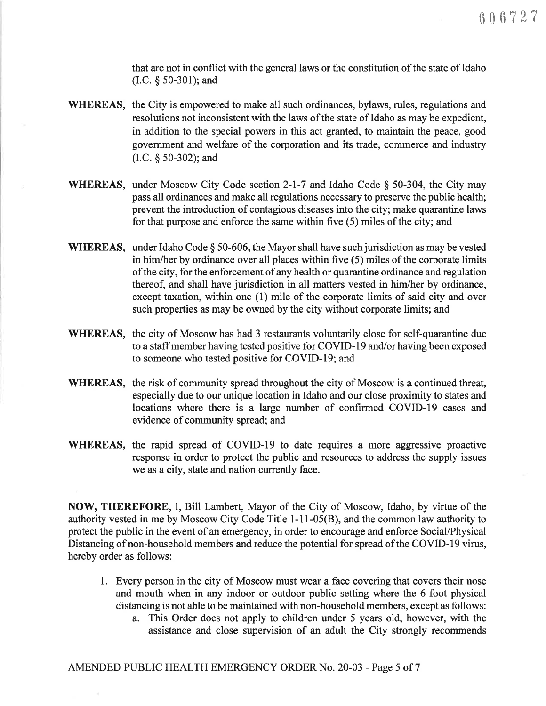that are not in conflict with the general laws or the constitution of the state of Idaho (I.C. \$ 50-301); and

- WHEREAS, the City is empowered to make all such ordinances, bylaws, rules, regulations and resolutions not inconsistent with the laws of the state of Idaho as may be expedient, in addition to the special powers in this act granted, to maintain the peace, good government and welfare of the corporation and its trade, commerce and industry (I.C. \$ 50-302); and
- WHEREAS, under Moscow City Code section 2-l-7 and Idaho Code \$ 50-304, the City may pass all ordinances and make all regulations necessary to preserve the public health; prevent the introduction of contagious diseases into the city; make quarantine laws for that purpose and enforce the same within five (5) miles of the city; and
- WHEREAS, under Idaho Code  $\S$  50-606, the Mayor shall have such jurisdiction as may be vested in him/her by ordinance over all places within five (5) miles of the corporate limits of the city, for the enforcement of any health or quarantine ordinance and regulation thereof, and shall have jurisdiction in all matters vested in him/her by ordinance, except taxation, within one (1) mile of the corporate limits of said city and over such properties as may be owned by the city without corporate limits; and
- WHEREAS, the city of Moscow has had 3 restaurants voluntarily close for self-quarantine due to a staff member having tested positive for COVID-19 and/or having been exposed to someone who tested positive for COVID-19; and
- WHEREAS, the risk of community spread throughout the city of Moscow is a continued threat, especially due to our unique location in Idaho and our close proximity to states and locations where there is a large number of confirmed COVID-I9 cases and evidence of community spread; and
- WHEREAS, the rapid spread of COVID-19 to date requires a more aggressive proactive response in order to protect the public and resources to address the supply issues we as a city, state and nation currently face.

NOW, THEREFORE, I, Bill Lambert, Mayor of the City of Moscow, Idaho, by virtue of the authority vested in me by Moscow City Code Title 1-11-05(B), and the common law authority to protect the public in the event of an emergency, in order to encourage and enforce Social/Physical Distancing of non-household members and reduce the potential for spread of the COVID-l9 virus, hereby order as follows:

- 1. Every person in the city of Moscow must wear a face covering that covers their nose and mouth when in any indoor or outdoor public setting where the 6-foot physical distancing is not able to be maintained with non-household members, except as follows:
	- a. This Order does not apply to children under 5 years old, however, with the assistance and close supervision of an adult the City strongly recommends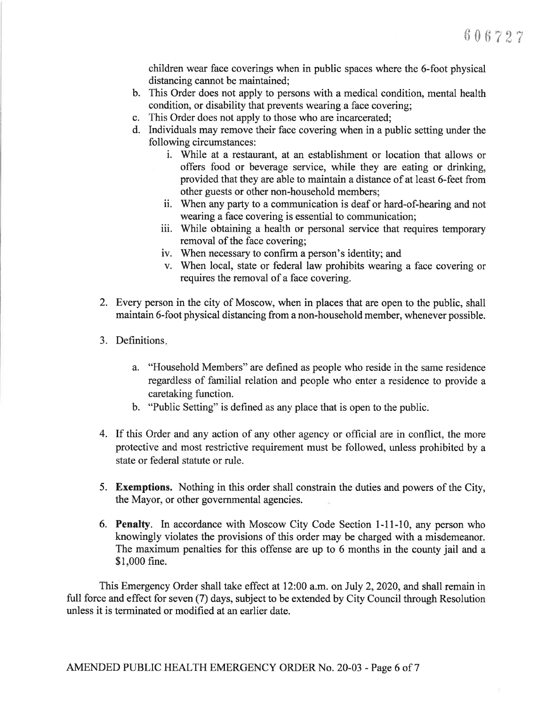children wear face coverings when in public spaces where the 6-foot physical distancing cannot be maintained;

- b. This Order does not apply to persons with a medical condition, mental health condition, or disability that prevents wearing a face covering;
- c. This Order does not apply to those who are incarcerated;
- d. Individuals may remove their face covering when in a public setting under the following circumstances :
	- i. While at a restaurant, at an establishment or location that allows or offers food or beverage service, while they are eating or drinking, provided that they are able to maintain a distance of at least 6-feet from other guests or other non-household members;
	- ii. When any party to a communication is deaf or hard-of-hearing and not wearing aface covering is essential to communication;
	- iii. While obtaining a health or personal service that requires temporary removal of the face covering;
	- iv. When necessary to confirm a person's identity; and
	- v. When local, state or federal law prohibits wearing a face covering or requires the removal of a face covering.
- 2. Every person in the city of Moscow, when in places that are open to the public, shall maintain 6-foot physical distancing from a non-household member, whenever possible.
- 3. Definitions
	- a. "Household Members" are defined as people who reside in the same residence regardless of familial relation and people who enter a residence to provide <sup>a</sup> caretaking function.
	- b. "Public Setting" is defined as any place that is open to the public.
- 4. If this Order and any action of any other agency or official are in conflict, the more protective and most restrictive requirement must be followed, unless prohibited by a state or federal statute or rule.
- 5. Exemptions. Nothing in this order shall constrain the duties and powers of the City, the Mayor, or other governmental agencies
- 6. Penalty. In accordance with Moscow City Code Section 1-11-10, any person who knowingly violates the provisions of this order may be charged with a misdemeanor. The maximum penalties for this offense are up to 6 months in the county jail and <sup>a</sup> \$1,000 fine.

This Emergency Order shall take effect at 12:00 a.m. on July 2,2020, and shall remain in full force and effect for seven (7) days, subject to be extended by City Council through Resolution unless it is terminated or modified at an earlier date.